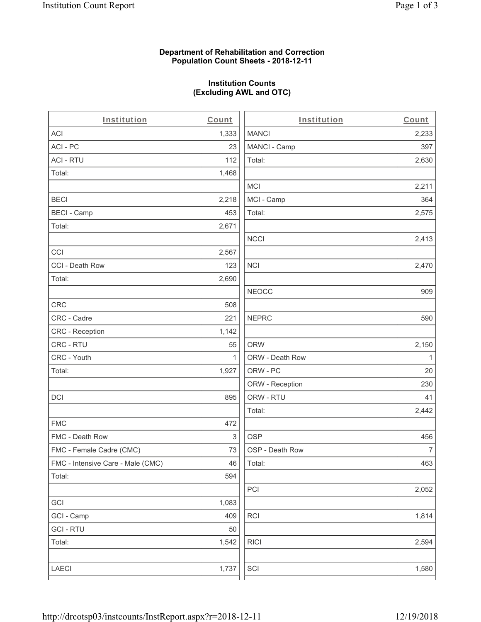## **Department of Rehabilitation and Correction Population Count Sheets - 2018-12-11**

# **Institution Counts (Excluding AWL and OTC)**

. .

| Institution                       | Count        | Institution     | Count        |
|-----------------------------------|--------------|-----------------|--------------|
| ACI                               | 1,333        | <b>MANCI</b>    | 2,233        |
| ACI-PC                            | 23           | MANCI - Camp    | 397          |
| <b>ACI - RTU</b>                  | 112          | Total:          | 2,630        |
| Total:                            | 1,468        |                 |              |
|                                   |              | <b>MCI</b>      | 2,211        |
| <b>BECI</b>                       | 2,218        | MCI - Camp      | 364          |
| <b>BECI - Camp</b>                | 453          | Total:          | 2,575        |
| Total:                            | 2,671        |                 |              |
|                                   |              | <b>NCCI</b>     | 2,413        |
| CCI                               | 2,567        |                 |              |
| CCI - Death Row                   | 123          | $\sf NCI$       | 2,470        |
| Total:                            | 2,690        |                 |              |
|                                   |              | <b>NEOCC</b>    | 909          |
| <b>CRC</b>                        | 508          |                 |              |
| CRC - Cadre                       | 221          | <b>NEPRC</b>    | 590          |
| CRC - Reception                   | 1,142        |                 |              |
| CRC - RTU                         | 55           | <b>ORW</b>      | 2,150        |
| CRC - Youth                       | $\mathbf{1}$ | ORW - Death Row | $\mathbf{1}$ |
| Total:                            | 1,927        | ORW - PC        | 20           |
|                                   |              | ORW - Reception | 230          |
| DCI                               | 895          | ORW - RTU       | 41           |
|                                   |              | Total:          | 2,442        |
| <b>FMC</b>                        | 472          |                 |              |
| FMC - Death Row                   | 3            | <b>OSP</b>      | 456          |
| FMC - Female Cadre (CMC)          | 73           | OSP - Death Row | 7            |
| FMC - Intensive Care - Male (CMC) | 46           | Total:          | 463          |
| Total:                            | 594          |                 |              |
|                                   |              | PCI             | 2,052        |
| GCI                               | 1,083        |                 |              |
| GCI - Camp                        | 409          | RCI             | 1,814        |
| <b>GCI - RTU</b>                  | 50           |                 |              |
| Total:                            | 1,542        | <b>RICI</b>     | 2,594        |
|                                   |              |                 |              |
| LAECI                             | 1,737        | SCI             | 1,580        |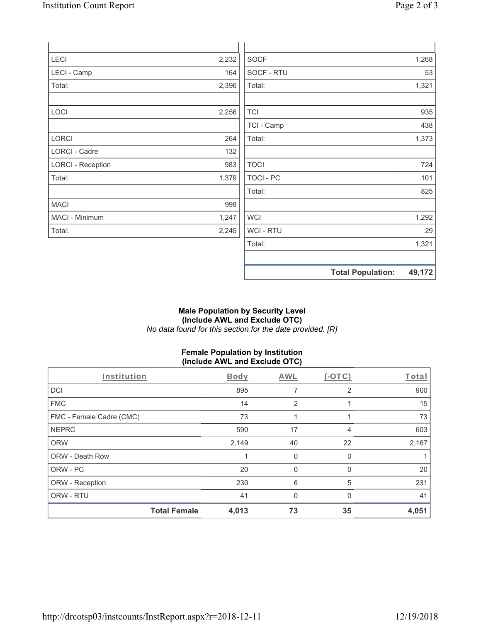| <b>LECI</b>              | 2,232 | <b>SOCF</b>      |                          | 1,268  |
|--------------------------|-------|------------------|--------------------------|--------|
| LECI - Camp              | 164   | SOCF - RTU       |                          | 53     |
| Total:                   | 2,396 | Total:           |                          | 1,321  |
| LOCI                     | 2,256 | <b>TCI</b>       |                          | 935    |
|                          |       | TCI - Camp       |                          | 438    |
| LORCI                    | 264   | Total:           |                          | 1,373  |
| LORCI - Cadre            | 132   |                  |                          |        |
| <b>LORCI - Reception</b> | 983   | <b>TOCI</b>      |                          | 724    |
| Total:                   | 1,379 | <b>TOCI - PC</b> |                          | 101    |
|                          |       | Total:           |                          | 825    |
| <b>MACI</b>              | 998   |                  |                          |        |
| MACI - Minimum           | 1,247 | <b>WCI</b>       |                          | 1,292  |
| Total:                   | 2,245 | WCI - RTU        |                          | 29     |
|                          |       | Total:           |                          | 1,321  |
|                          |       |                  | <b>Total Population:</b> | 49,172 |

## **Male Population by Security Level (Include AWL and Exclude OTC)**  *No data found for this section for the date provided. [R]*

# **Female Population by Institution (Include AWL and Exclude OTC)**

| Institution              | Body                         | AWL                  | $(-OTC)$       | Total |
|--------------------------|------------------------------|----------------------|----------------|-------|
| <b>DCI</b>               |                              | 895                  | $\overline{2}$ | 900   |
| <b>FMC</b>               |                              | 14<br>$\overline{2}$ |                | 15    |
| FMC - Female Cadre (CMC) |                              | 73<br>4              |                | 73    |
| <b>NEPRC</b>             |                              | 17<br>590            | 4              | 603   |
| <b>ORW</b>               | 2,149                        | 40                   | 22             | 2,167 |
| <b>ORW - Death Row</b>   |                              | 0                    | 0              |       |
| ORW - PC                 |                              | 20<br>$\Omega$       | 0              | 20    |
| ORW - Reception          |                              | 6<br>230             | 5              | 231   |
| ORW - RTU                |                              | 41<br>$\Omega$       | $\Omega$       | 41    |
|                          | <b>Total Female</b><br>4,013 | 73                   | 35             | 4,051 |